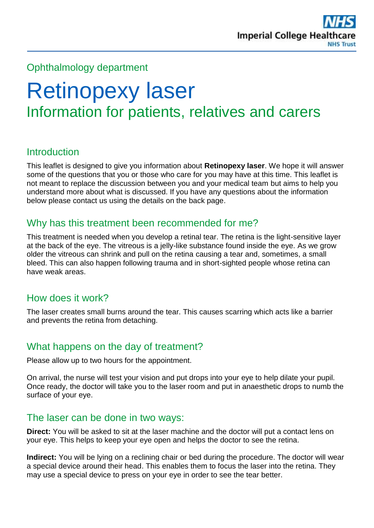

## Ophthalmology department

# Retinopexy laser Information for patients, relatives and carers

## **Introduction**

This leaflet is designed to give you information about **Retinopexy laser**. We hope it will answer some of the questions that you or those who care for you may have at this time. This leaflet is not meant to replace the discussion between you and your medical team but aims to help you understand more about what is discussed. If you have any questions about the information below please contact us using the details on the back page.

## Why has this treatment been recommended for me?

This treatment is needed when you develop a retinal tear. The retina is the light-sensitive layer at the back of the eye. The vitreous is a jelly-like substance found inside the eye. As we grow older the vitreous can shrink and pull on the retina causing a tear and, sometimes, a small bleed. This can also happen following trauma and in short-sighted people whose retina can have weak areas.

## How does it work?

The laser creates small burns around the tear. This causes scarring which acts like a barrier and prevents the retina from detaching.

## What happens on the day of treatment?

Please allow up to two hours for the appointment.

On arrival, the nurse will test your vision and put drops into your eye to help dilate your pupil. Once ready, the doctor will take you to the laser room and put in anaesthetic drops to numb the surface of your eye.

#### The laser can be done in two ways:

**Direct:** You will be asked to sit at the laser machine and the doctor will put a contact lens on your eye. This helps to keep your eye open and helps the doctor to see the retina.

**Indirect:** You will be lying on a reclining chair or bed during the procedure. The doctor will wear a special device around their head. This enables them to focus the laser into the retina. They may use a special device to press on your eye in order to see the tear better.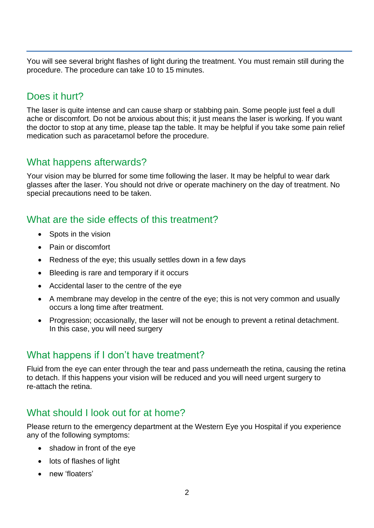You will see several bright flashes of light during the treatment. You must remain still during the procedure. The procedure can take 10 to 15 minutes.

## Does it hurt?

The laser is quite intense and can cause sharp or stabbing pain. Some people just feel a dull ache or discomfort. Do not be anxious about this; it just means the laser is working. If you want the doctor to stop at any time, please tap the table. It may be helpful if you take some pain relief medication such as paracetamol before the procedure.

## What happens afterwards?

Your vision may be blurred for some time following the laser. It may be helpful to wear dark glasses after the laser. You should not drive or operate machinery on the day of treatment. No special precautions need to be taken.

## What are the side effects of this treatment?

- Spots in the vision
- Pain or discomfort
- Redness of the eye; this usually settles down in a few days
- Bleeding is rare and temporary if it occurs
- Accidental laser to the centre of the eye
- A membrane may develop in the centre of the eye; this is not very common and usually occurs a long time after treatment.
- Progression; occasionally, the laser will not be enough to prevent a retinal detachment. In this case, you will need surgery

# What happens if I don't have treatment?

Fluid from the eye can enter through the tear and pass underneath the retina, causing the retina to detach. If this happens your vision will be reduced and you will need urgent surgery to re-attach the retina.

# What should I look out for at home?

Please return to the emergency department at the Western Eye you Hospital if you experience any of the following symptoms:

- shadow in front of the eye
- lots of flashes of light
- new 'floaters'